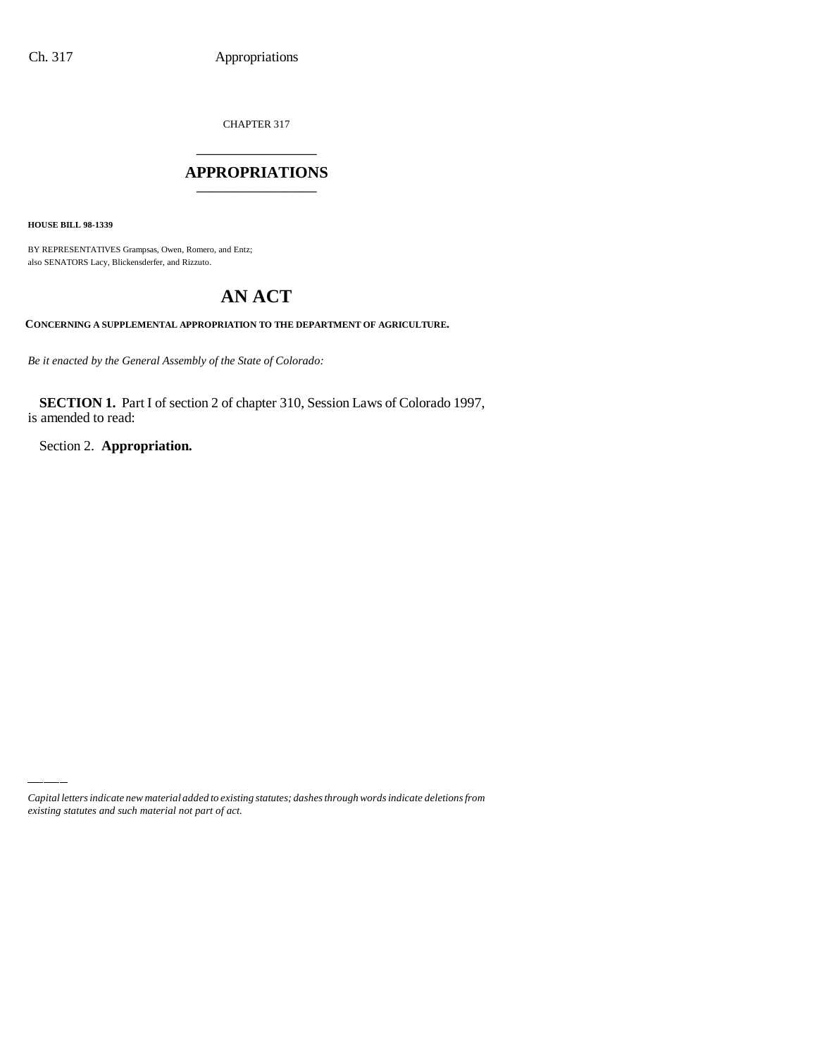CHAPTER 317

## \_\_\_\_\_\_\_\_\_\_\_\_\_\_\_ **APPROPRIATIONS** \_\_\_\_\_\_\_\_\_\_\_\_\_\_\_

**HOUSE BILL 98-1339**

BY REPRESENTATIVES Grampsas, Owen, Romero, and Entz; also SENATORS Lacy, Blickensderfer, and Rizzuto.

# **AN ACT**

**CONCERNING A SUPPLEMENTAL APPROPRIATION TO THE DEPARTMENT OF AGRICULTURE.**

*Be it enacted by the General Assembly of the State of Colorado:*

**SECTION 1.** Part I of section 2 of chapter 310, Session Laws of Colorado 1997, is amended to read:

Section 2. **Appropriation.**

*Capital letters indicate new material added to existing statutes; dashes through words indicate deletions from existing statutes and such material not part of act.*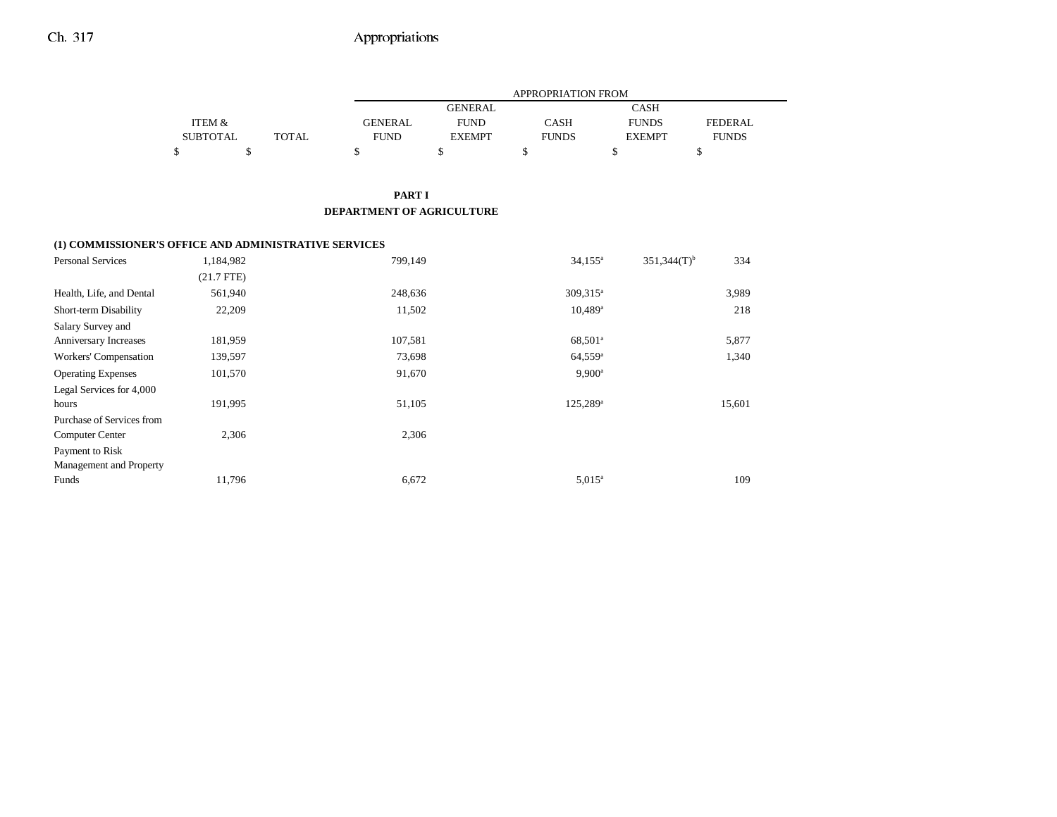## Ch. 317 Appropriations

|                 |       |                | APPROPRIATION FROM |              |               |                |  |  |  |  |
|-----------------|-------|----------------|--------------------|--------------|---------------|----------------|--|--|--|--|
|                 |       |                | <b>GENERAL</b>     |              | <b>CASH</b>   |                |  |  |  |  |
| ITEM &          |       | <b>GENERAL</b> | <b>FUND</b>        | CASH         | <b>FUNDS</b>  | <b>FEDERAL</b> |  |  |  |  |
| <b>SUBTOTAL</b> | TOTAL | FUND           | <b>EXEMPT</b>      | <b>FUNDS</b> | <b>EXEMPT</b> | <b>FUNDS</b>   |  |  |  |  |
|                 |       |                |                    |              |               |                |  |  |  |  |

### **PART I DEPARTMENT OF AGRICULTURE**

#### **(1) COMMISSIONER'S OFFICE AND ADMINISTRATIVE SERVICES**

| <b>Personal Services</b>  | 1,184,982    | 799,149 | $34,155^{\circ}$      | 334<br>$351,344(T)$ <sup>b</sup> |
|---------------------------|--------------|---------|-----------------------|----------------------------------|
|                           | $(21.7$ FTE) |         |                       |                                  |
| Health, Life, and Dental  | 561,940      | 248,636 | 309,315 <sup>a</sup>  | 3,989                            |
| Short-term Disability     | 22,209       | 11,502  | $10,489$ <sup>a</sup> | 218                              |
| Salary Survey and         |              |         |                       |                                  |
| Anniversary Increases     | 181,959      | 107,581 | 68,501 <sup>a</sup>   | 5,877                            |
| Workers' Compensation     | 139,597      | 73,698  | $64,559$ <sup>a</sup> | 1,340                            |
| <b>Operating Expenses</b> | 101,570      | 91,670  | $9,900^{\rm a}$       |                                  |
| Legal Services for 4,000  |              |         |                       |                                  |
| hours                     | 191,995      | 51,105  | $125,289^{\rm a}$     | 15,601                           |
| Purchase of Services from |              |         |                       |                                  |
| Computer Center           | 2,306        | 2,306   |                       |                                  |
| Payment to Risk           |              |         |                       |                                  |
| Management and Property   |              |         |                       |                                  |
| Funds                     | 11,796       | 6,672   | $5.015^{\circ}$       | 109                              |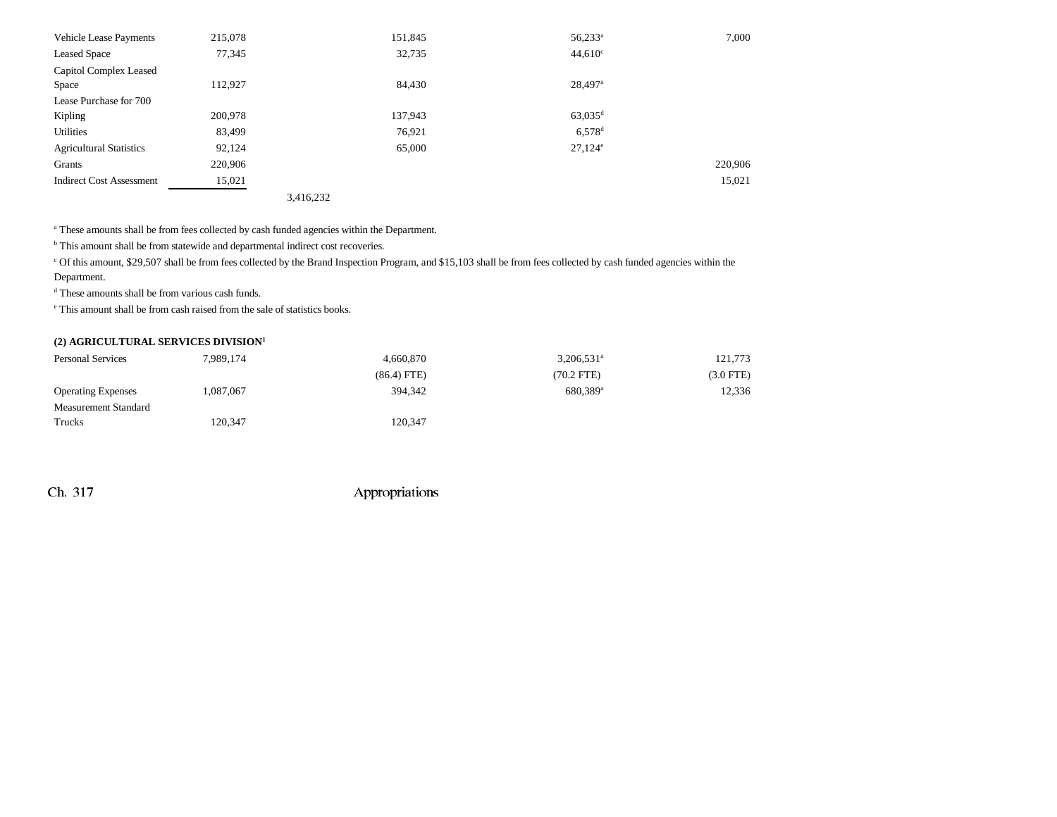| <b>Vehicle Lease Payments</b>   | 215,078 |           | 151,845 | $56,233^a$            | 7,000   |
|---------------------------------|---------|-----------|---------|-----------------------|---------|
| <b>Leased Space</b>             | 77,345  |           | 32,735  | $44,610^{\circ}$      |         |
| Capitol Complex Leased          |         |           |         |                       |         |
| Space                           | 112,927 |           | 84,430  | $28,497$ <sup>a</sup> |         |
| Lease Purchase for 700          |         |           |         |                       |         |
| Kipling                         | 200,978 |           | 137,943 | $63,035$ <sup>d</sup> |         |
| Utilities                       | 83,499  |           | 76,921  | $6.578$ <sup>d</sup>  |         |
| <b>Agricultural Statistics</b>  | 92,124  |           | 65,000  | $27,124^e$            |         |
| Grants                          | 220,906 |           |         |                       | 220,906 |
| <b>Indirect Cost Assessment</b> | 15,021  |           |         |                       | 15,021  |
|                                 |         | 3,416,232 |         |                       |         |

a These amounts shall be from fees collected by cash funded agencies within the Department.

b This amount shall be from statewide and departmental indirect cost recoveries.

c Of this amount, \$29,507 shall be from fees collected by the Brand Inspection Program, and \$15,103 shall be from fees collected by cash funded agencies within the Department.

d These amounts shall be from various cash funds.

e This amount shall be from cash raised from the sale of statistics books.

### **(2) AGRICULTURAL SERVICES DIVISION1**

| Personal Services         | 7,989,174 | 4.660.870     | $3,206,531$ <sup>a</sup> | 121,773     |
|---------------------------|-----------|---------------|--------------------------|-------------|
|                           |           | $(86.4)$ FTE) | $(70.2$ FTE)             | $(3.0$ FTE) |
| <b>Operating Expenses</b> | ,087,067  | 394.342       | 680,389 <sup>a</sup>     | 12,336      |
| Measurement Standard      |           |               |                          |             |
| Trucks                    | 120.347   | 120.347       |                          |             |

Ch. 317 Appropriations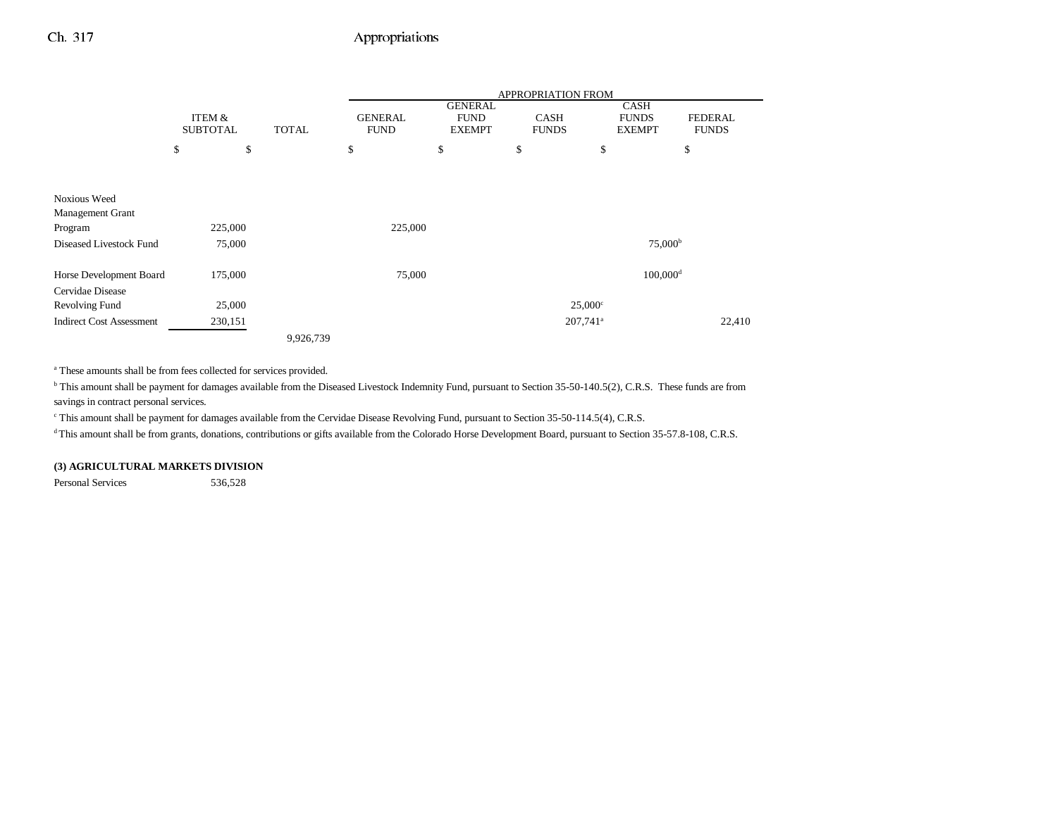## Ch. 317 Appropriations

|                                         |                           |              |           | <b>APPROPRIATION FROM</b>                                     |                |                             |                      |                                              |                                |
|-----------------------------------------|---------------------------|--------------|-----------|---------------------------------------------------------------|----------------|-----------------------------|----------------------|----------------------------------------------|--------------------------------|
|                                         | ITEM &<br><b>SUBTOTAL</b> | <b>TOTAL</b> |           | <b>GENERAL</b><br><b>FUND</b><br><b>FUND</b><br><b>EXEMPT</b> | <b>GENERAL</b> | <b>CASH</b><br><b>FUNDS</b> |                      | <b>CASH</b><br><b>FUNDS</b><br><b>EXEMPT</b> | <b>FEDERAL</b><br><b>FUNDS</b> |
|                                         | \$                        | \$           | \$        |                                                               | \$             | \$                          | \$                   |                                              | \$                             |
|                                         |                           |              |           |                                                               |                |                             |                      |                                              |                                |
|                                         |                           |              |           |                                                               |                |                             |                      |                                              |                                |
| <b>Noxious Weed</b><br>Management Grant |                           |              |           |                                                               |                |                             |                      |                                              |                                |
| Program                                 | 225,000                   |              |           | 225,000                                                       |                |                             |                      |                                              |                                |
| Diseased Livestock Fund                 | 75,000                    |              |           |                                                               |                |                             |                      | 75,000 <sup>b</sup>                          |                                |
| Horse Development Board                 | 175,000                   |              |           | 75,000                                                        |                |                             |                      | $100,000$ <sup>d</sup>                       |                                |
| Cervidae Disease                        |                           |              |           |                                                               |                |                             |                      |                                              |                                |
| Revolving Fund                          | 25,000                    |              |           |                                                               |                |                             | $25,000^{\circ}$     |                                              |                                |
| <b>Indirect Cost Assessment</b>         | 230,151                   |              |           |                                                               |                |                             | 207,741 <sup>a</sup> |                                              | 22,410                         |
|                                         |                           |              | 9,926,739 |                                                               |                |                             |                      |                                              |                                |

a These amounts shall be from fees collected for services provided.

<sup>b</sup> This amount shall be payment for damages available from the Diseased Livestock Indemnity Fund, pursuant to Section 35-50-140.5(2), C.R.S. These funds are from savings in contract personal services.

c This amount shall be payment for damages available from the Cervidae Disease Revolving Fund, pursuant to Section 35-50-114.5(4), C.R.S.

<sup>d</sup> This amount shall be from grants, donations, contributions or gifts available from the Colorado Horse Development Board, pursuant to Section 35-57.8-108, C.R.S.

#### **(3) AGRICULTURAL MARKETS DIVISION**

Personal Services 536,528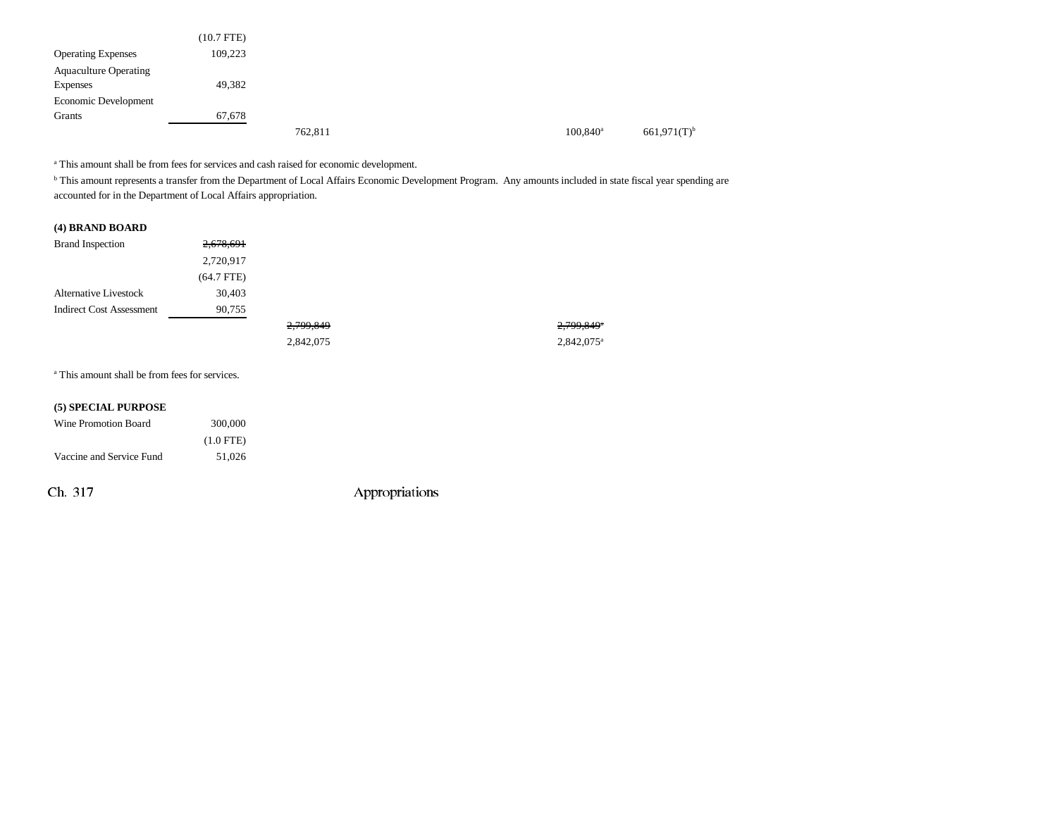|                              | $(10.7$ FTE) |         |  |                        |                           |
|------------------------------|--------------|---------|--|------------------------|---------------------------|
| <b>Operating Expenses</b>    | 109,223      |         |  |                        |                           |
| <b>Aquaculture Operating</b> |              |         |  |                        |                           |
| Expenses                     | 49,382       |         |  |                        |                           |
| Economic Development         |              |         |  |                        |                           |
| Grants                       | 67,678       |         |  |                        |                           |
|                              |              | 762,811 |  | $100.840$ <sup>a</sup> | $661,971(T)$ <sup>b</sup> |

a This amount shall be from fees for services and cash raised for economic development.

<sup>b</sup> This amount represents a transfer from the Department of Local Affairs Economic Development Program. Any amounts included in state fiscal year spending are accounted for in the Department of Local Affairs appropriation.

#### **(4) BRAND BOARD**

| <b>Brand Inspection</b>         | 2,678,691    |           |                        |
|---------------------------------|--------------|-----------|------------------------|
|                                 | 2,720,917    |           |                        |
|                                 | $(64.7$ FTE) |           |                        |
| <b>Alternative Livestock</b>    | 30,403       |           |                        |
| <b>Indirect Cost Assessment</b> | 90,755       |           |                        |
|                                 |              | 2,799,849 | 2,799,849 <sup>a</sup> |
|                                 |              | 2,842,075 | 2,842,075 <sup>a</sup> |

a This amount shall be from fees for services.

| (5) SPECIAL PURPOSE      |             |
|--------------------------|-------------|
| Wine Promotion Board     | 300,000     |
|                          | $(1.0$ FTE) |
| Vaccine and Service Fund | 51,026      |

Ch. 317 Appropriations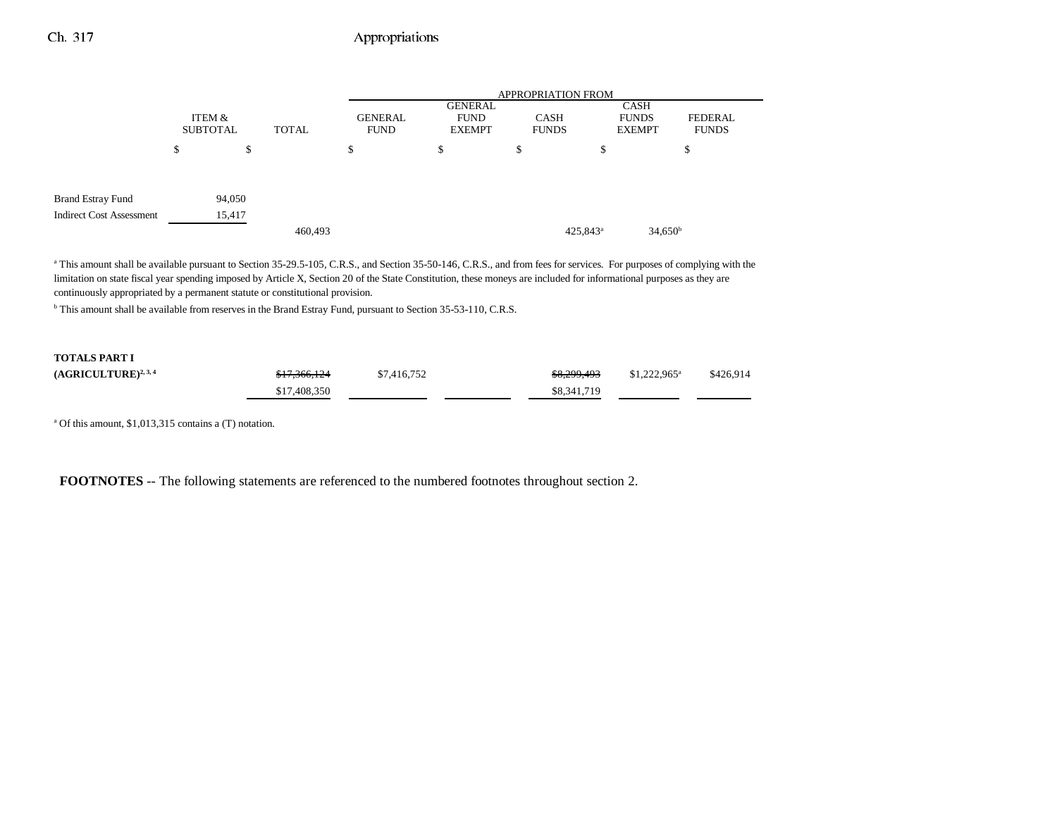## Ch. 317 Appropriations

|                                 |                           |        |                                               | <b>APPROPRIATION FROM</b> |                                                |                      |                                                                      |                  |  |  |
|---------------------------------|---------------------------|--------|-----------------------------------------------|---------------------------|------------------------------------------------|----------------------|----------------------------------------------------------------------|------------------|--|--|
|                                 | ITEM &<br><b>SUBTOTAL</b> |        | <b>GENERAL</b><br><b>TOTAL</b><br><b>FUND</b> |                           | <b>GENERAL</b><br><b>FUND</b><br><b>EXEMPT</b> |                      | CASH<br><b>CASH</b><br><b>FUNDS</b><br><b>FUNDS</b><br><b>EXEMPT</b> |                  |  |  |
|                                 | \$                        | \$     |                                               | \$                        | \$                                             | \$                   | \$                                                                   | \$               |  |  |
|                                 |                           |        |                                               |                           |                                                |                      |                                                                      |                  |  |  |
| <b>Brand Estray Fund</b>        |                           | 94,050 |                                               |                           |                                                |                      |                                                                      |                  |  |  |
| <b>Indirect Cost Assessment</b> |                           | 15,417 |                                               |                           |                                                |                      |                                                                      |                  |  |  |
|                                 |                           |        | 460,493                                       |                           |                                                | 425,843 <sup>a</sup> |                                                                      | $34,650^{\rm b}$ |  |  |

<sup>a</sup> This amount shall be available pursuant to Section 35-29.5-105, C.R.S., and Section 35-50-146, C.R.S., and from fees for services. For purposes of complying with the limitation on state fiscal year spending imposed by Article X, Section 20 of the State Constitution, these moneys are included for informational purposes as they are continuously appropriated by a permanent statute or constitutional provision.

b This amount shall be available from reserves in the Brand Estray Fund, pursuant to Section 35-53-110, C.R.S.

## **TOTALS PART I (AGRICULTURE)<sup>2, 3, 4</sup>** \$17,366,124 \$7,416,752 \$8,299,493 \$1,222,965<sup>a</sup> \$426,914 \$17,408,350 \$8,341,719

a Of this amount, \$1,013,315 contains a (T) notation.

**FOOTNOTES** -- The following statements are referenced to the numbered footnotes throughout section 2.